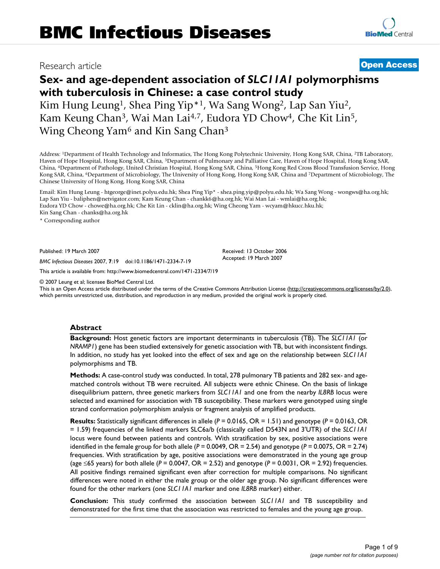# Research article **[Open Access](http://www.biomedcentral.com/info/about/charter/)**

# **Sex- and age-dependent association of** *SLC11A1* **polymorphisms with tuberculosis in Chinese: a case control study**

Kim Hung Leung<sup>1</sup>, Shea Ping Yip<sup>\*1</sup>, Wa Sang Wong<sup>2</sup>, Lap San Yiu<sup>2</sup>, Kam Keung Chan3, Wai Man Lai4,7, Eudora YD Chow4, Che Kit Lin5, Wing Cheong Yam<sup>6</sup> and Kin Sang Chan<sup>3</sup>

Address: 1Department of Health Technology and Informatics, The Hong Kong Polytechnic University, Hong Kong SAR, China, 2TB Laboratory, Haven of Hope Hospital, Hong Kong SAR, China, 3Department of Pulmonary and Palliative Care, Haven of Hope Hospital, Hong Kong SAR, China, 4Department of Pathology, United Christian Hospital, Hong Kong SAR, China, 5Hong Kong Red Cross Blood Transfusion Service, Hong Kong SAR, China, 6Department of Microbiology, The University of Hong Kong, Hong Kong SAR, China and 7Department of Microbiology, The Chinese University of Hong Kong, Hong Kong SAR, China

Email: Kim Hung Leung - htgeorge@inet.polyu.edu.hk; Shea Ping Yip\* - shea.ping.yip@polyu.edu.hk; Wa Sang Wong - wongws@ha.org.hk; Lap San Yiu - baliphen@netvigator.com; Kam Keung Chan - chankk6@ha.org.hk; Wai Man Lai - wmlai@ha.org.hk; Eudora YD Chow - chowe@ha.org.hk; Che Kit Lin - cklin@ha.org.hk; Wing Cheong Yam - wcyam@hkucc.hku.hk; Kin Sang Chan - chanks@ha.org.hk

\* Corresponding author

Published: 19 March 2007

*BMC Infectious Diseases* 2007, **7**:19 doi:10.1186/1471-2334-7-19

[This article is available from: http://www.biomedcentral.com/1471-2334/7/19](http://www.biomedcentral.com/1471-2334/7/19)

© 2007 Leung et al; licensee BioMed Central Ltd.

This is an Open Access article distributed under the terms of the Creative Commons Attribution License [\(http://creativecommons.org/licenses/by/2.0\)](http://creativecommons.org/licenses/by/2.0), which permits unrestricted use, distribution, and reproduction in any medium, provided the original work is properly cited.

Received: 13 October 2006 Accepted: 19 March 2007

#### **Abstract**

**Background:** Host genetic factors are important determinants in tuberculosis (TB). The *SLC11A1* (or *NRAMP1*) gene has been studied extensively for genetic association with TB, but with inconsistent findings. In addition, no study has yet looked into the effect of sex and age on the relationship between *SLC11A1* polymorphisms and TB.

**Methods:** A case-control study was conducted. In total, 278 pulmonary TB patients and 282 sex- and agematched controls without TB were recruited. All subjects were ethnic Chinese. On the basis of linkage disequilibrium pattern, three genetic markers from *SLC11A1* and one from the nearby *IL8RB* locus were selected and examined for association with TB susceptibility. These markers were genotyped using single strand conformation polymorphism analysis or fragment analysis of amplified products.

**Results:** Statistically significant differences in allele (*P* = 0.0165, OR = 1.51) and genotype (*P* = 0.0163, OR = 1.59) frequencies of the linked markers SLC6a/b (classically called D543N and 3'UTR) of the *SLC11A1* locus were found between patients and controls. With stratification by sex, positive associations were identified in the female group for both allele  $(P = 0.0049, \text{ OR } = 2.54)$  and genotype  $(P = 0.0075, \text{ OR } = 2.74)$ frequencies. With stratification by age, positive associations were demonstrated in the young age group (age ≤65 years) for both allele (*P* = 0.0047, OR = 2.52) and genotype (*P* = 0.0031, OR = 2.92) frequencies. All positive findings remained significant even after correction for multiple comparisons. No significant differences were noted in either the male group or the older age group. No significant differences were found for the other markers (one *SLC11A1* marker and one *IL8RB* marker) either.

**Conclusion:** This study confirmed the association between *SLC11A1* and TB susceptibility and demonstrated for the first time that the association was restricted to females and the young age group.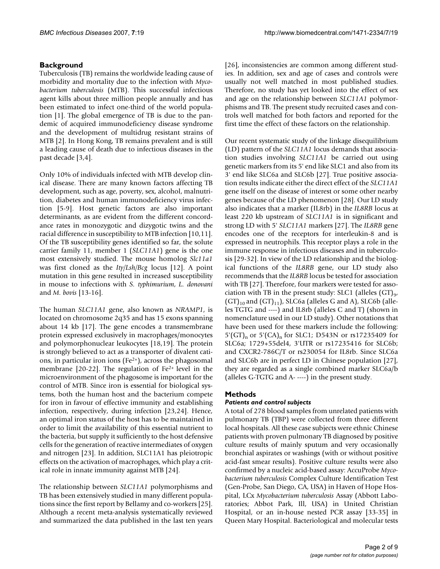# **Background**

Tuberculosis (TB) remains the worldwide leading cause of morbidity and mortality due to the infection with *Mycobacterium tuberculosis* (MTB). This successful infectious agent kills about three million people annually and has been estimated to infect one-third of the world population [1]. The global emergence of TB is due to the pandemic of acquired immunodeficiency disease syndrome and the development of multidrug resistant strains of MTB [2]. In Hong Kong, TB remains prevalent and is still a leading cause of death due to infectious diseases in the past decade [3,4].

Only 10% of individuals infected with MTB develop clinical disease. There are many known factors affecting TB development, such as age, poverty, sex, alcohol, malnutrition, diabetes and human immunodeficiency virus infection [5-9]. Host genetic factors are also important determinants, as are evident from the different concordance rates in monozygotic and dizygotic twins and the racial difference in susceptibility to MTB infection [10,11]. Of the TB susceptibility genes identified so far, the solute carrier family 11, member 1 (*SLC11A1*) gene is the one most extensively studied. The mouse homolog *Slc11a1* was first cloned as the *Ity/Lsh/Bcg* locus [12]. A point mutation in this gene resulted in increased susceptibility in mouse to infections with *S. typhimurium*, *L. donovani* and *M. bovis* [13-16].

The human *SLC11A1* gene, also known as *NRAMP1*, is located on chromosome 2q35 and has 15 exons spanning about 14 kb [17]. The gene encodes a transmembrane protein expressed exclusively in macrophages/monocytes and polymorphonuclear leukocytes [18[,19](#page-7-0)]. The protein is strongly believed to act as a transporter of divalent cations, in particular iron ions (Fe2+), across the phagosomal membrane [20-22]. The regulation of Fe2+ level in the microenvironment of the phagosome is important for the control of MTB. Since iron is essential for biological systems, both the human host and the bacterium compete for iron in favour of effective immunity and establishing infection, respectively, during infection [23,[24\]](#page-7-1). Hence, an optimal iron status of the host has to be maintained in order to limit the availability of this essential nutrient to the bacteria, but supply it sufficiently to the host defensive cells for the generation of reactive intermediates of oxygen and nitrogen [23]. In addition, SLC11A1 has pleiotropic effects on the activation of macrophages, which play a critical role in innate immunity against MTB [\[24\]](#page-7-1).

The relationship between *SLC11A1* polymorphisms and TB has been extensively studied in many different populations since the first report by Bellamy and co-workers [25]. Although a recent meta-analysis systematically reviewed and summarized the data published in the last ten years

[[26](#page-7-2)], inconsistencies are common among different studies. In addition, sex and age of cases and controls were usually not well matched in most published studies. Therefore, no study has yet looked into the effect of sex and age on the relationship between *SLC11A1* polymorphisms and TB. The present study recruited cases and controls well matched for both factors and reported for the first time the effect of these factors on the relationship.

Our recent systematic study of the linkage disequilibrium (LD) pattern of the *SLC11A1* locus demands that association studies involving *SLC11A1* be carried out using genetic markers from its 5' end like SLC1 and also from its 3' end like SLC6a and SLC6b [27]. True positive association results indicate either the direct effect of the *SLC11A1* gene itself on the disease of interest or some other nearby genes because of the LD phenomenon [28]. Our LD study also indicates that a marker (IL8rb) in the *IL8RB* locus at least 220 kb upstream of *SLC11A1* is in significant and strong LD with 5' *SLC11A1* markers [27]. The *IL8RB* gene encodes one of the receptors for interleukin-8 and is expressed in neutrophils. This receptor plays a role in the immune response in infectious diseases and in tuberculosis [29-32]. In view of the LD relationship and the biological functions of the *IL8RB* gene, our LD study also recommends that the *IL8RB* locus be tested for association with TB [27]. Therefore, four markers were tested for association with TB in the present study: SLC1 (alleles  $(GT)_{9}$ ,  $(GT)_{10}$  and  $(GT)_{11}$ , SLC6a (alleles G and A), SLC6b (alleles TGTG and ----) and IL8rb (alleles C and T) (shown in nomenclature used in our LD study). Other notations that have been used for these markers include the following:  $5'(GT)_n$  or  $5'(CA)_n$  for SLC1; D543N or rs17235409 for SLC6a; 1729+55del4, 3'UTR or rs17235416 for SLC6b; and CXCR2-786C/T or rs230054 for IL8rb. Since SLC6a and SLC6b are in perfect LD in Chinese population [27], they are regarded as a single combined marker SLC6a/b (alleles G-TGTG and A- ----) in the present study.

# **Methods**

# *Patients and control subjects*

A total of 278 blood samples from unrelated patients with pulmonary TB (TBP) were collected from three different local hospitals. All these case subjects were ethnic Chinese patients with proven pulmonary TB diagnosed by positive culture results of mainly sputum and very occasionally bronchial aspirates or washings (with or without positive acid-fast smear results). Positive culture results were also confirmed by a nucleic acid-based assay: AccuProbe *Mycobacterium tuberculosis* Complex Culture Identification Test (Gen-Probe, San Diego, CA, USA) in Haven of Hope Hospital, LCx *Mycobacterium tuberculosis* Assay (Abbott Laboratories; Abbot Park, Ill, USA) in United Christian Hospital, or an in-house nested PCR assay [33-35] in Queen Mary Hospital. Bacteriological and molecular tests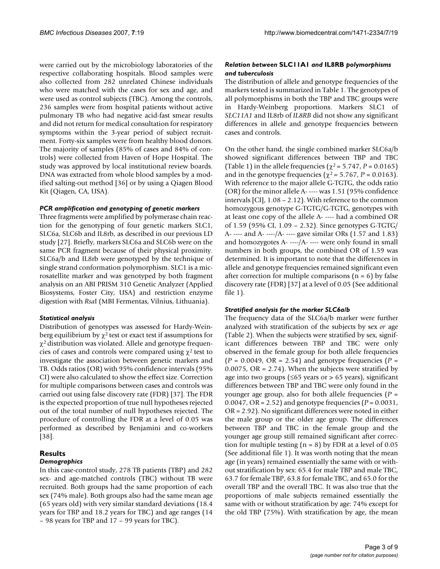were carried out by the microbiology laboratories of the respective collaborating hospitals. Blood samples were also collected from 282 unrelated Chinese individuals who were matched with the cases for sex and age, and were used as control subjects (TBC). Among the controls, 236 samples were from hospital patients without active pulmonary TB who had negative acid-fast smear results and did not return for medical consultation for respiratory symptoms within the 3-year period of subject recruitment. Forty-six samples were from healthy blood donors. The majority of samples (85% of cases and 84% of controls) were collected from Haven of Hope Hospital. The study was approved by local institutional review boards. DNA was extracted from whole blood samples by a modified salting-out method [36] or by using a Qiagen Blood Kit (Qiagen, CA, USA).

#### *PCR amplification and genotyping of genetic markers*

Three fragments were amplified by polymerase chain reaction for the genotyping of four genetic markers SLC1, SLC6a, SLC6b and IL8rb, as described in our previous LD study [27]. Briefly, markers SLC6a and SLC6b were on the same PCR fragment because of their physical proximity. SLC6a/b and IL8rb were genotyped by the technique of single strand conformation polymorphism. SLC1 is a microsatellite marker and was genotyped by both fragment analysis on an ABI PRISM 310 Genetic Analyzer (Applied Biosystems, Foster City, USA) and restriction enzyme digestion with *Rsa*I (MBI Fermentas, Vilnius, Lithuania).

#### *Statistical analysis*

Distribution of genotypes was assessed for Hardy-Weinberg equilibrium by  $\chi^2$  test or exact test if assumptions for χ2 distribution was violated. Allele and genotype frequencies of cases and controls were compared using  $\chi^2$  test to investigate the association between genetic markers and TB. Odds ratios (OR) with 95% confidence intervals (95% CI) were also calculated to show the effect size. Correction for multiple comparisons between cases and controls was carried out using false discovery rate (FDR) [37]. The FDR is the expected proportion of true null hypotheses rejected out of the total number of null hypotheses rejected. The procedure of controlling the FDR at a level of 0.05 was performed as described by Benjamini and co-workers [38].

# **Results**

#### *Demographics*

In this case-control study, 278 TB patients (TBP) and 282 sex- and age-matched controls (TBC) without TB were recruited. Both groups had the same proportion of each sex (74% male). Both groups also had the same mean age (65 years old) with very similar standard deviations (18.4 years for TBP and 18.2 years for TBC) and age ranges (14 – 98 years for TBP and 17 – 99 years for TBC).

# *Relation between* **SLC11A1** *and* **IL8RB** *polymorphisms and tuberculosis*

The distribution of allele and genotype frequencies of the markers tested is summarized in Table 1. The genotypes of all polymorphisms in both the TBP and TBC groups were in Hardy-Weinberg proportions. Markers SLC1 of *SLC11A1* and IL8rb of *IL8RB* did not show any significant differences in allele and genotype frequencies between cases and controls.

On the other hand, the single combined marker SLC6a/b showed significant differences between TBP and TBC (Table 1) in the allele frequencies ( $\chi^2$  = 5.747, *P* = 0.0165) and in the genotype frequencies ( $\chi^2$  = 5.767, *P* = 0.0163). With reference to the major allele G-TGTG, the odds ratio (OR) for the minor allele A- ---- was 1.51 (95% confidence intervals [CI], 1.08 – 2.12). With reference to the common homozygous genotype G-TGTG/G-TGTG, genotypes with at least one copy of the allele A- ---- had a combined OR of 1.59 (95% CI, 1.09 – 2.32). Since genotypes G-TGTG/ A- ---- and A- ----/A- ---- gave similar ORs (1.57 and 1.83) and homozygotes A- ----/A- ---- were only found in small numbers in both groups, the combined OR of 1.59 was determined. It is important to note that the differences in allele and genotype frequencies remained significant even after correction for multiple comparisons  $(n = 6)$  by false discovery rate (FDR) [37] at a level of 0.05 (See additional file 1).

#### *Stratified analysis for the marker SLC6a/b*

The frequency data of the SLC6a/b marker were further analyzed with stratification of the subjects by sex *or* age (Table 2). When the subjects were stratified by sex, significant differences between TBP and TBC were only observed in the female group for both allele frequencies  $(P = 0.0049, \text{ OR } = 2.54)$  and genotype frequencies  $(P = 0.0049, \text{ OR } = 2.54)$ 0.0075, OR = 2.74). When the subjects were stratified by age into two groups ( $\leq 65$  years or > 65 years), significant differences between TBP and TBC were only found in the younger age group, also for both allele frequencies (*P* = 0.0047, OR = 2.52) and genotype frequencies (*P* = 0.0031, OR = 2.92). No significant differences were noted in either the male group or the older age group. The differences between TBP and TBC in the female group and the younger age group still remained significant after correction for multiple testing  $(n = 8)$  by FDR at a level of 0.05 (See additional file 1). It was worth noting that the mean age (in years) remained essentially the same with or without stratification by sex: 65.4 for male TBP and male TBC, 63.7 for female TBP, 63.8 for female TBC, and 65.0 for the overall TBP and the overall TBC. It was also true that the proportions of male subjects remained essentially the same with or without stratification by age: 74% except for the old TBP (75%). With stratification by age, the mean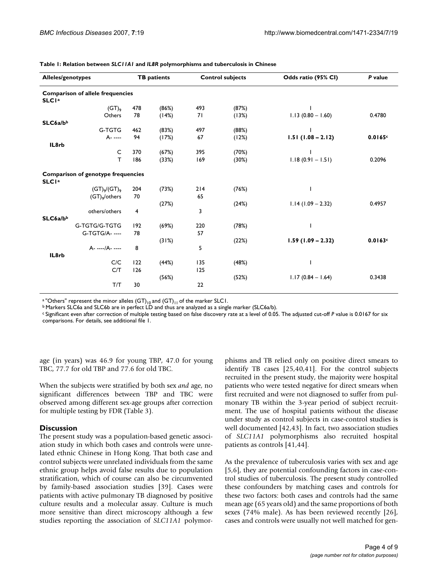| Alleles/genotypes                                                    | <b>TB</b> patients |       | <b>Control subjects</b> |       | Odds ratio (95% CI) | P value |  |  |  |
|----------------------------------------------------------------------|--------------------|-------|-------------------------|-------|---------------------|---------|--|--|--|
| <b>Comparison of allele frequencies</b><br><b>SLCI<sup>a</sup></b>   |                    |       |                         |       |                     |         |  |  |  |
| $(GT)_{9}$                                                           | 478                | (86%) | 493                     | (87%) |                     |         |  |  |  |
| Others                                                               | 78                 | (14%) | 71                      | (13%) | $1.13(0.80 - 1.60)$ | 0.4780  |  |  |  |
| SLC6a/bb                                                             |                    |       |                         |       |                     |         |  |  |  |
| G-TGTG                                                               | 462                | (83%) | 497                     | (88%) |                     |         |  |  |  |
| A- ----                                                              | 94                 | (17%) | 67                      | (12%) | $1.51(1.08 - 2.12)$ | 0.0165c |  |  |  |
| IL8rb                                                                |                    |       |                         |       |                     |         |  |  |  |
| $\mathsf{C}$                                                         | 370                | (67%) | 395                     | (70%) |                     |         |  |  |  |
| т                                                                    | 186                | (33%) | 169                     | (30%) | $1.18(0.91 - 1.51)$ | 0.2096  |  |  |  |
|                                                                      |                    |       |                         |       |                     |         |  |  |  |
| <b>Comparison of genotype frequencies</b><br><b>SLCI<sup>a</sup></b> |                    |       |                         |       |                     |         |  |  |  |
| $(GT)_{9}/(GT)_{9}$                                                  | 204                | (73%) | 214                     | (76%) |                     |         |  |  |  |
| $(GT)$ <sub>9</sub> /others                                          | 70                 |       | 65                      |       |                     |         |  |  |  |
|                                                                      |                    | (27%) |                         | (24%) | $1.14(1.09 - 2.32)$ | 0.4957  |  |  |  |
| others/others                                                        | 4                  |       | 3                       |       |                     |         |  |  |  |
| SLC6a/b <sup>b</sup>                                                 |                    |       |                         |       |                     |         |  |  |  |
| G-TGTG/G-TGTG                                                        | 192                | (69%) | 220                     | (78%) |                     |         |  |  |  |
| G-TGTG/A- ----                                                       | 78                 |       | 57                      |       |                     |         |  |  |  |
|                                                                      |                    | (31%) |                         | (22%) | $1.59(1.09 - 2.32)$ | 0.0163c |  |  |  |
| A- ----/A- ----                                                      | 8                  |       | 5                       |       |                     |         |  |  |  |
| IL8rb                                                                |                    |       |                         |       |                     |         |  |  |  |
| C/C                                                                  | 122                | (44%) | 135                     | (48%) |                     |         |  |  |  |
| C/T                                                                  | 126                |       | 125                     |       |                     |         |  |  |  |
|                                                                      |                    | (56%) |                         | (52%) | $1.17(0.84 - 1.64)$ | 0.3438  |  |  |  |
| T/T                                                                  | 30                 |       | 22                      |       |                     |         |  |  |  |
|                                                                      |                    |       |                         |       |                     |         |  |  |  |

**Table 1: Relation between** *SLC11A1* **and** *IL8R* **polymorphisms and tuberculosis in Chinese**

<sup>a "</sup>Others" represent the minor alleles (GT)<sub>10</sub> and (GT)<sub>11</sub> of the marker SLC1.<br><sup>b</sup> Markers SLC6a and SLC6b are in perfect LD and thus are analyzed as a single marker (SLC6a/b).

c Significant even after correction of multiple testing based on false discovery rate at a level of 0.05. The adjusted cut-off *P* value is 0.0167 for six comparisons. For details, see additional file 1.

age (in years) was 46.9 for young TBP, 47.0 for young TBC, 77.7 for old TBP and 77.6 for old TBC.

When the subjects were stratified by both sex *and* age, no significant differences between TBP and TBC were observed among different sex-age groups after correction for multiple testing by FDR (Table 3).

# **Discussion**

The present study was a population-based genetic association study in which both cases and controls were unrelated ethnic Chinese in Hong Kong. That both case and control subjects were unrelated individuals from the same ethnic group helps avoid false results due to population stratification, which of course can also be circumvented by family-based association studies [39]. Cases were patients with active pulmonary TB diagnosed by positive culture results and a molecular assay. Culture is much more sensitive than direct microscopy although a few studies reporting the association of *SLC11A1* polymorphisms and TB relied only on positive direct smears to identify TB cases [25,40,41]. For the control subjects recruited in the present study, the majority were hospital patients who were tested negative for direct smears when first recruited and were not diagnosed to suffer from pulmonary TB within the 3-year period of subject recruitment. The use of hospital patients without the disease under study as control subjects in case-control studies is well documented [42,43]. In fact, two association studies of *SLC11A1* polymorphisms also recruited hospital patients as controls [41,44].

As the prevalence of tuberculosis varies with sex and age [5,6], they are potential confounding factors in case-control studies of tuberculosis. The present study controlled these confounders by matching cases and controls for these two factors: both cases and controls had the same mean age (65 years old) and the same proportions of both sexes (74% male). As has been reviewed recently [\[26](#page-7-2)], cases and controls were usually not well matched for gen-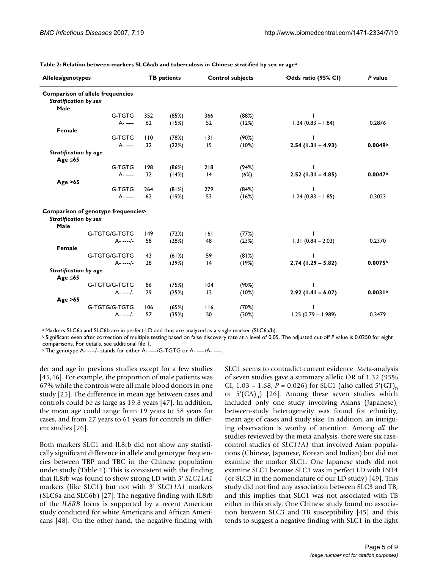| <b>Alleles/genotypes</b>                                                        | <b>TB</b> patients |       | <b>Control subjects</b> |       | Odds ratio (95% CI)  | P value             |
|---------------------------------------------------------------------------------|--------------------|-------|-------------------------|-------|----------------------|---------------------|
| <b>Comparison of allele frequencies</b><br><b>Stratification by sex</b><br>Male |                    |       |                         |       |                      |                     |
| G-TGTG                                                                          | 352                | (85%) | 366                     | (88%) |                      |                     |
| A- ----                                                                         | 62                 | (15%) | 52                      | (12%) | $1.24(0.83 - 1.84)$  | 0.2876              |
| Female                                                                          |                    |       |                         |       |                      |                     |
| G-TGTG                                                                          | 110                | (78%) | 131                     | (90%) |                      |                     |
| A- ----                                                                         | 32                 | (22%) | 15                      | (10%) | $2.54(1.31 - 4.93)$  | 0.0049 <sup>b</sup> |
| <b>Stratification by age</b>                                                    |                    |       |                         |       |                      |                     |
| Age $\leq 65$                                                                   |                    |       |                         |       |                      |                     |
| G-TGTG                                                                          | 198                | (86%) | 218                     | (94%) |                      |                     |
| A- ----                                                                         | 32                 | (14%) | 4                       | (6%)  | $2.52(1.31 - 4.85)$  | 0.0047 <sup>b</sup> |
| Age $>65$                                                                       |                    |       |                         |       |                      |                     |
| G-TGTG                                                                          | 264                | (81%) | 279                     | (84%) |                      |                     |
| A- ----                                                                         | 62                 | (19%) | 53                      | (16%) | $1.24(0.83 - 1.85)$  | 0.3023              |
| Comparison of genotype frequencies <sup>c</sup>                                 |                    |       |                         |       |                      |                     |
| <b>Stratification by sex</b><br>Male                                            |                    |       |                         |       |                      |                     |
| G-TGTG/G-TGTG                                                                   | 149                | (72%) | 6                       | (77%) |                      |                     |
| $A - - - -$                                                                     | 58                 | (28%) | 48                      | (23%) | $1.31(0.84 - 2.03)$  | 0.2370              |
| Female                                                                          |                    |       |                         |       |                      |                     |
| G-TGTG/G-TGTG                                                                   | 43                 | (61%) | 59                      | (81%) |                      |                     |
| $A - - - -/-$                                                                   | 28                 | (39%) | 4                       | (19%) | $2.74(1.29 - 5.82)$  | 0.0075 <sup>b</sup> |
| <b>Stratification by age</b>                                                    |                    |       |                         |       |                      |                     |
| Age $\leq 65$                                                                   |                    |       |                         |       |                      |                     |
| G-TGTG/G-TGTG                                                                   | 86                 | (75%) | 104                     | (90%) |                      |                     |
| $A - - - - -$                                                                   | 29                 | (25%) | 12                      | (10%) | $2.92(1.41 - 6.07)$  | 0.0031 <sup>b</sup> |
| Age $>65$                                                                       |                    |       |                         |       |                      |                     |
| G-TGTG/G-TGTG                                                                   | 106                | (65%) | 116                     | (70%) |                      |                     |
| $A - - - -$                                                                     | 57                 | (35%) | 50                      | (30%) | $1.25(0.79 - 1.989)$ | 0.3479              |

**Table 2: Relation between markers SLC6a/b and tuberculosis in Chinese stratified by sex** *or* **agea**

a Markers SLC6a and SLC6b are in perfect LD and thus are analyzed as a single marker (SLC6a/b).

b Significant even after correction of multiple testing based on false discovery rate at a level of 0.05. The adjusted cut-off *P* value is 0.0250 for eight comparisons. For details, see additional file 1.

c The genotype A- ----/- stands for either A- ----/G-TGTG or A- ----/A- ----.

der and age in previous studies except for a few studies [[45](#page-8-0),46]. For example, the proportion of male patients was 67% while the controls were all male blood donors in one study [25]. The difference in mean age between cases and controls could be as large as 19.8 years [47]. In addition, the mean age could range from 19 years to 58 years for cases, and from 27 years to 61 years for controls in different studies [\[26](#page-7-2)].

Both markers SLC1 and IL8rb did not show any statistically significant difference in allele and genotype frequencies between TBP and TBC in the Chinese population under study (Table 1). This is consistent with the finding that IL8rb was found to show strong LD with 5' *SLC11A1* markers (like SLC1) but not with 3' *SLC11A1* markers (SLC6a and SLC6b) [27]. The negative finding with IL8rb of the *IL8RB* locus is supported by a recent American study conducted for white Americans and African Americans [48]. On the other hand, the negative finding with

SLC1 seems to contradict current evidence. Meta-analysis of seven studies gave a summary allelic OR of 1.32 (95% CI, 1.03 – 1.68;  $P = 0.026$ ) for SLC1 (also called 5'(GT)<sub>n</sub> or  $5'(CA)_n$  [[26](#page-7-2)]. Among these seven studies which included only one study involving Asians (Japanese), between-study heterogeneity was found for ethnicity, mean age of cases and study size. In addition, an intriguing observation is worthy of attention. Among *all* the studies reviewed by the meta-analysis, there were six casecontrol studies of *SLC11A1* that involved Asian populations (Chinese, Japanese, Korean and Indian) but did not examine the marker SLC1. One Japanese study did not examine SLC1 because SLC1 was in perfect LD with INT4 (or SLC3 in the nomenclature of our LD study) [49]. This study did not find any association between SLC3 and TB, and this implies that SLC1 was not associated with TB either in this study. One Chinese study found no association between SLC3 and TB susceptibility [[45](#page-8-0)] and this tends to suggest a negative finding with SLC1 in the light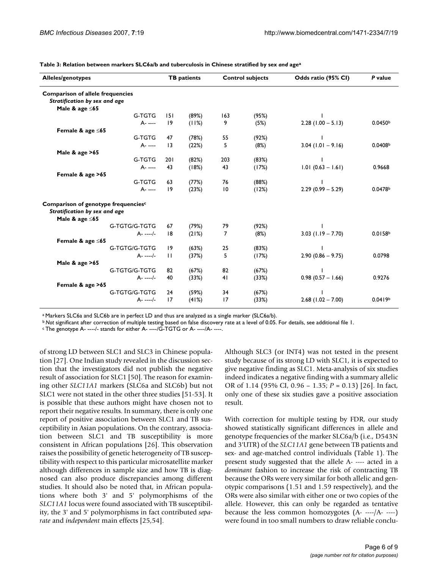| Alleles/genotypes                               |                 | <b>TB</b> patients |     | <b>Control subjects</b> | Odds ratio (95% CI)  | P value             |  |  |  |
|-------------------------------------------------|-----------------|--------------------|-----|-------------------------|----------------------|---------------------|--|--|--|
| <b>Comparison of allele frequencies</b>         |                 |                    |     |                         |                      |                     |  |  |  |
| Stratification by sex and age                   |                 |                    |     |                         |                      |                     |  |  |  |
| Male & age $\leq 65$                            |                 |                    |     |                         |                      |                     |  |  |  |
| G-TGTG                                          | 151             | (89%)              | 163 | (95%)                   |                      |                     |  |  |  |
| A- ----                                         | 19              | (11%)              | 9   | (5%)                    | $2.28(1.00 - 5.13)$  | 0.0450b             |  |  |  |
| Female & age $\leq 65$                          |                 |                    |     |                         |                      |                     |  |  |  |
| G-TGTG                                          | 47              | (78%)              | 55  | (92%)                   |                      |                     |  |  |  |
| A- ----                                         | $\overline{13}$ | (22%)              | 5   | (8%)                    | $3.04$ (1.01 - 9.16) | 0.0408b             |  |  |  |
| Male $&$ age $>65$                              |                 |                    |     |                         |                      |                     |  |  |  |
| G-TGTG                                          | 201             | (82%)              | 203 | (83%)                   |                      |                     |  |  |  |
| A- ----                                         | 43              | (18%)              | 43  | (17%)                   | $1.01 (0.63 - 1.61)$ | 0.9668              |  |  |  |
| Female & age >65                                |                 |                    |     |                         |                      |                     |  |  |  |
| G-TGTG                                          | 63              | (77%)              | 76  | (88%)                   |                      |                     |  |  |  |
| A- ----                                         | 9               | (23%)              | 10  | (12%)                   | $2.29(0.99 - 5.29)$  | 0.0478b             |  |  |  |
| Comparison of genotype frequencies <sup>c</sup> |                 |                    |     |                         |                      |                     |  |  |  |
| Stratification by sex and age                   |                 |                    |     |                         |                      |                     |  |  |  |
| Male & age $\leq 65$                            |                 |                    |     |                         |                      |                     |  |  |  |
| G-TGTG/G-TGTG                                   | 67              | (79%)              | 79  | (92%)                   |                      |                     |  |  |  |
| $A - - - -/-$                                   | 8               | (21%)              | 7   | (8%)                    | $3.03$ (1.19 - 7.70) | 0.0158 <sup>b</sup> |  |  |  |
| Female & age ≤65                                |                 |                    |     |                         |                      |                     |  |  |  |
| G-TGTG/G-TGTG                                   | 19              | (63%)              | 25  | (83%)                   |                      |                     |  |  |  |
| $A - - - -/-$                                   | $\mathbf{H}$    | (37%)              | 5   | (17%)                   | $2.90(0.86 - 9.75)$  | 0.0798              |  |  |  |
| Male $&$ age $>65$                              |                 |                    |     |                         |                      |                     |  |  |  |
| G-TGTG/G-TGTG                                   | 82              | (67%)              | 82  | (67%)                   |                      |                     |  |  |  |
| $A - - - -$                                     | 40              | (33%)              | 41  | (33%)                   | $0.98(0.57 - 1.66)$  | 0.9276              |  |  |  |
| Female & age >65                                |                 |                    |     |                         |                      |                     |  |  |  |
| G-TGTG/G-TGTG                                   | 24              | (59%)              | 34  | (67%)                   |                      |                     |  |  |  |
| $A - - - -/-$                                   | 17              | (41%)              | 17  | (33%)                   | $2.68$ (1.02 - 7.00) | 0.0419 <sup>b</sup> |  |  |  |

**Table 3: Relation between markers SLC6a/b and tuberculosis in Chinese stratified by sex** *and* **agea**

a Markers SLC6a and SLC6b are in perfect LD and thus are analyzed as a single marker (SLC6a/b).

*b* Not significant after correction of multiple testing based on false discovery rate at a level of 0.05. For details, see additional file 1.

c The genotype A- ----/- stands for either A- ----/G-TGTG or A- ----/A- ----.

of strong LD between SLC1 and SLC3 in Chinese population [27]. One Indian study revealed in the discussion section that the investigators did not publish the negative result of association for SLC1 [50]. The reason for examining other *SLC11A1* markers (SLC6a and SLC6b) but not SLC1 were not stated in the other three studies [[51](#page-8-1)-53]. It is possible that these authors might have chosen not to report their negative results. In summary, there is only one report of positive association between SLC1 and TB susceptibility in Asian populations. On the contrary, association between SLC1 and TB susceptibility is more consistent in African populations [[26\]](#page-7-2). This observation raises the possibility of genetic heterogeneity of TB susceptibility with respect to this particular microsatellite marker although differences in sample size and how TB is diagnosed can also produce discrepancies among different studies. It should also be noted that, in African populations where both 3' and 5' polymorphisms of the *SLC11A1* locus were found associated with TB susceptibility, the 3' and 5' polymorphisms in fact contributed *separate* and *independent* main effects [25[,54](#page-8-2)].

Although SLC3 (or INT4) was not tested in the present study because of its strong LD with SLC1, it is expected to give negative finding as SLC1. Meta-analysis of six studies indeed indicates a negative finding with a summary allelic OR of 1.14 (95% CI, 0.96 – 1.35; *P* = 0.13) [[26\]](#page-7-2). In fact, only one of these six studies gave a positive association result.

With correction for multiple testing by FDR, our study showed statistically significant differences in allele and genotype frequencies of the marker SLC6a/b (i.e., D543N and 3'UTR) of the *SLC11A1* gene between TB patients and sex- and age-matched control individuals (Table 1). The present study suggested that the allele A- ---- acted in a *dominant* fashion to increase the risk of contracting TB because the ORs were very similar for both allelic and genotypic comparisons (1.51 and 1.59 respectively), and the ORs were also similar with either one or two copies of the allele. However, this can only be regarded as tentative because the less common homozygotes (A- ----/A- ----) were found in too small numbers to draw reliable conclu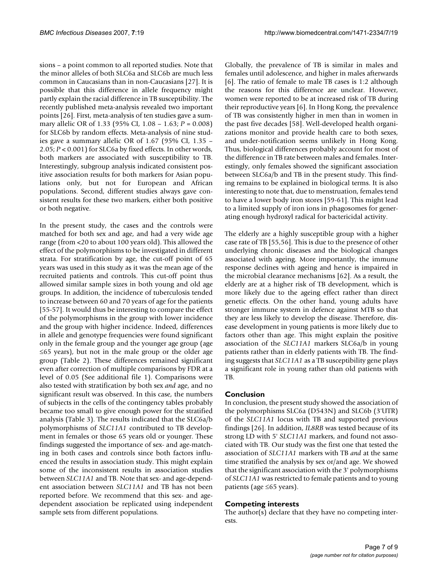sions – a point common to all reported studies. Note that the minor alleles of both SLC6a and SLC6b are much less common in Caucasians than in non-Caucasians [27]. It is possible that this difference in allele frequency might partly explain the racial difference in TB susceptibility. The recently published meta-analysis revealed two important points [[26](#page-7-2)]. First, meta-analysis of ten studies gave a summary allelic OR of 1.33 (95% CI, 1.08 – 1.63; *P* = 0.008) for SLC6b by random effects. Meta-analysis of nine studies gave a summary allelic OR of 1.67 (95% CI, 1.35 – 2.05; *P* < 0.001) for SLC6a by fixed effects. In other words, both markers are associated with susceptibility to TB. Interestingly, subgroup analysis indicated consistent positive association results for both markers for Asian populations only, but not for European and African populations. Second, different studies always gave consistent results for these two markers, either both positive or both negative.

In the present study, the cases and the controls were matched for both sex and age, and had a very wide age range (from <20 to about 100 years old). This allowed the effect of the polymorphisms to be investigated in different strata. For stratification by age, the cut-off point of 65 years was used in this study as it was the mean age of the recruited patients and controls. This cut-off point thus allowed similar sample sizes in both young and old age groups. In addition, the incidence of tuberculosis tended to increase between 60 and 70 years of age for the patients [55-57]. It would thus be interesting to compare the effect of the polymorphisms in the group with lower incidence and the group with higher incidence. Indeed, differences in allele and genotype frequencies were found significant only in the female group and the younger age group (age  $\leq$ 65 years), but not in the male group or the older age group (Table 2). These differences remained significant even after correction of multiple comparisons by FDR at a level of 0.05 (See additional file 1). Comparisons were also tested with stratification by both sex *and* age, and no significant result was observed. In this case, the numbers of subjects in the cells of the contingency tables probably became too small to give enough power for the stratified analysis (Table 3). The results indicated that the SLC6a/b polymorphisms of *SLC11A1* contributed to TB development in females or those 65 years old or younger. These findings suggested the importance of sex- and age-matching in both cases and controls since both factors influenced the results in association study. This might explain some of the inconsistent results in association studies between *SLC11A1* and TB. Note that sex- and age-dependent association between *SLC11A1* and TB has not been reported before. We recommend that this sex- and agedependent association be replicated using independent sample sets from different populations.

Globally, the prevalence of TB is similar in males and females until adolescence, and higher in males afterwards [6]. The ratio of female to male TB cases is 1:2 although the reasons for this difference are unclear. However, women were reported to be at increased risk of TB during their reproductive years [6]. In Hong Kong, the prevalence of TB was consistently higher in men than in women in the past five decades [58]. Well-developed health organizations monitor and provide health care to both sexes, and under-notification seems unlikely in Hong Kong. Thus, biological differences probably account for most of the difference in TB rate between males and females. Interestingly, only females showed the significant association between SLC6a/b and TB in the present study. This finding remains to be explained in biological terms. It is also interesting to note that, due to menstruation, females tend to have a lower body iron stores [59-61]. This might lead to a limited supply of iron ions in phagosomes for generating enough hydroxyl radical for bactericidal activity.

The elderly are a highly susceptible group with a higher case rate of TB [55,56]. This is due to the presence of other underlying chronic diseases and the biological changes associated with ageing. More importantly, the immune response declines with ageing and hence is impaired in the microbial clearance mechanisms [62]. As a result, the elderly are at a higher risk of TB development, which is more likely due to the ageing effect rather than direct genetic effects. On the other hand, young adults have stronger immune system in defence against MTB so that they are less likely to develop the disease. Therefore, disease development in young patients is more likely due to factors other than age. This might explain the positive association of the *SLC11A1* markers SLC6a/b in young patients rather than in elderly patients with TB. The finding suggests that *SLC11A1* as a TB susceptibility gene plays a significant role in young rather than old patients with TB.

# **Conclusion**

In conclusion, the present study showed the association of the polymorphisms SLC6a (D543N) and SLC6b (3'UTR) of the *SLC11A1* locus with TB and supported previous findings [\[26](#page-7-2)]. In addition, *IL8RB* was tested because of its strong LD with 5' *SLC11A1* markers, and found not associated with TB. Our study was the first one that tested the association of *SLC11A1* markers with TB *and* at the same time stratified the analysis by sex or/and age. We showed that the significant association with the 3' polymorphisms of *SLC11A1* was restricted to female patients and to young patients (age ≤65 years).

# **Competing interests**

The author(s) declare that they have no competing interests.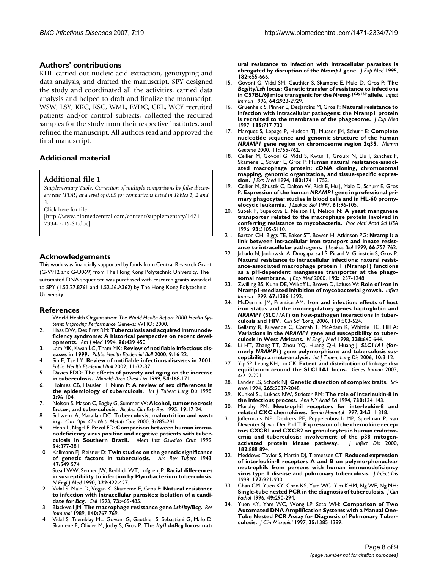#### **Authors' contributions**

KHL carried out nucleic acid extraction, genotyping and data analysis, and drafted the manuscript. SPY designed the study and coordinated all the activities, carried data analysis and helped to draft and finalize the manuscript. WSW, LSY, KKC, KSC, WML, EYDC, CKL, WCY recruited patients and/or control subjects, collected the required samples for the study from their respective institutes, and refined the manuscript. All authors read and approved the final manuscript.

# **Additional material**

#### **Additional file 1**

*Supplementary Table. Correction of multiple comparisons by false discovery rate (FDR) at a level of 0.05 for comparisons listed in Tables 1, 2 and 3.*

Click here for file

[\[http://www.biomedcentral.com/content/supplementary/1471-](http://www.biomedcentral.com/content/supplementary/1471-2334-7-19-S1.doc) 2334-7-19-S1.doc]

### **Acknowledgements**

This work was financially supported by funds from Central Research Grant (G-V912 and G-U069) from The Hong Kong Polytechnic University. The automated DNA sequencer was purchased with research grants awarded to SPY (1.53.27.8761 and 1.52.56.A362) by The Hong Kong Polytechnic University.

#### **References**

- 1. World Health Organisation: *The World Health Report 2000 Health Systems: Improving Performance* Geneva: WHO; 2000.
- Haas DW, Des Prez RM: [Tuberculosis and acquired immunode](http://www.ncbi.nlm.nih.gov/entrez/query.fcgi?cmd=Retrieve&db=PubMed&dopt=Abstract&list_uids=8192176)**[ficiency syndrome: A historical perspective on recent devel](http://www.ncbi.nlm.nih.gov/entrez/query.fcgi?cmd=Retrieve&db=PubMed&dopt=Abstract&list_uids=8192176)[opments.](http://www.ncbi.nlm.nih.gov/entrez/query.fcgi?cmd=Retrieve&db=PubMed&dopt=Abstract&list_uids=8192176)** *Am J Med* 1994, **96:**439-450.
- 3. Lam MK, Kwan LC, Tham MK: **Review of notifiable infectious diseases in 1999.** *Public Health Epidemiol Bull* 2000, **9:**16-22.
- 4. Sin E, Tse LY: **Review of notifiable infectious diseases in 2001.** *Public Health Epidemiol Bull* 2002, **11:**32-37.
- 5. Davies PDO: **[The effects of poverty and aging on the increase](http://www.ncbi.nlm.nih.gov/entrez/query.fcgi?cmd=Retrieve&db=PubMed&dopt=Abstract&list_uids=10394834) [in tuberculosis.](http://www.ncbi.nlm.nih.gov/entrez/query.fcgi?cmd=Retrieve&db=PubMed&dopt=Abstract&list_uids=10394834)** *Monaldi Arch Chest Dis* 1999, **54:**168-171.
- 6. Holmes CB, Hausler H, Nunn P: **[A review of sex differences in](http://www.ncbi.nlm.nih.gov/entrez/query.fcgi?cmd=Retrieve&db=PubMed&dopt=Abstract&list_uids=9562118) [the epidemiology of tuberculosis.](http://www.ncbi.nlm.nih.gov/entrez/query.fcgi?cmd=Retrieve&db=PubMed&dopt=Abstract&list_uids=9562118)** *Int J Tuberc Lung Dis* 1998, **2:**96-104.
- 7. Nelson S, Mason C, Bagby G, Summer W: **[Alcohol, tumor necrosis](http://www.ncbi.nlm.nih.gov/entrez/query.fcgi?cmd=Retrieve&db=PubMed&dopt=Abstract&list_uids=7771645) [factor, and tuberculosis.](http://www.ncbi.nlm.nih.gov/entrez/query.fcgi?cmd=Retrieve&db=PubMed&dopt=Abstract&list_uids=7771645)** *Alcohol Clin Exp Res* 1995, **19:**17-24.
- 8. Schwenk A, Macallan DC: **[Tuberculosis, malnutrition and wast](http://www.ncbi.nlm.nih.gov/entrez/query.fcgi?cmd=Retrieve&db=PubMed&dopt=Abstract&list_uids=10929675)[ing.](http://www.ncbi.nlm.nih.gov/entrez/query.fcgi?cmd=Retrieve&db=PubMed&dopt=Abstract&list_uids=10929675)** *Curr Opin Clin Nutr Metab Care* 2000, **3:**285-291.
- Henn L, Nagel F, Pizzol FD: **[Comparison between human immu](http://www.ncbi.nlm.nih.gov/entrez/query.fcgi?cmd=Retrieve&db=PubMed&dopt=Abstract&list_uids=10348986)[nodeficiency virus positive and negative patients with tuber](http://www.ncbi.nlm.nih.gov/entrez/query.fcgi?cmd=Retrieve&db=PubMed&dopt=Abstract&list_uids=10348986)[culosis in Southern Brazil.](http://www.ncbi.nlm.nih.gov/entrez/query.fcgi?cmd=Retrieve&db=PubMed&dopt=Abstract&list_uids=10348986)** *Mem Inst Oswaldo Cruz* 1999, **94:**377-381.
- 10. Kallmann FJ, Reisner D: **Twin studies on the genetic significance of genetic factors in tuberculosis.** *Am Rev Tuberc* 1943, **47:**549-574.
- 11. Stead WW, Senner JW, Reddick WT, Lofgren JP: **[Racial differences](http://www.ncbi.nlm.nih.gov/entrez/query.fcgi?cmd=Retrieve&db=PubMed&dopt=Abstract&list_uids=2300105) [in susceptibility to infection by Mycobacterium tuberculosis.](http://www.ncbi.nlm.nih.gov/entrez/query.fcgi?cmd=Retrieve&db=PubMed&dopt=Abstract&list_uids=2300105)** *N Engl J Med* 1990, **322:**422-427.
- 12. Vidal S, Malo D, Vogan K, Skameme E, Gros P: **Natural resistance to infection with intracellular parasites: isolation of a candidate for** *Bcg***[.](http://www.ncbi.nlm.nih.gov/entrez/query.fcgi?cmd=Retrieve&db=PubMed&dopt=Abstract&list_uids=8490962)** *Cell* 1993, **73:**469-485.
- 13. Blackwell JM: **The macrophage resistance gene** *Lsh/Ity/Bcg***[.](http://www.ncbi.nlm.nih.gov/entrez/query.fcgi?cmd=Retrieve&db=PubMed&dopt=Abstract&list_uids=2696047)** *Res Immunol* 1989, **140:**767-769.
- Vidal S, Tremblay ML, Govoni G, Gauthier S, Sebastiani G, Malo D, Skamene E, Olivier M, Jothy S, Gros P: **The** *Ity/Lsh/Bcg* **locus: nat-**

**ural resistance to infection with intracellular parasites is abrogated by disruption of the** *Nramp1* **[gene.](http://www.ncbi.nlm.nih.gov/entrez/query.fcgi?cmd=Retrieve&db=PubMed&dopt=Abstract&list_uids=7650477)** *J Exp Med* 1995, **182:**655-666.

- 15. Govoni G, Vidal SM, Gauthier S, Skamene E, Malo D, Gros P: **The** *Bcg/Ity/Lsh* **locus: Genetic transfer of resistance to infections in C57BL/6J mice transgenic for the** *Nramp1***Gly169 [allele.](http://www.ncbi.nlm.nih.gov/entrez/query.fcgi?cmd=Retrieve&db=PubMed&dopt=Abstract&list_uids=8757814)** *Infect Immun* 1996, **64:**2923-2929.
- 16. Gruenheid S, Pinner E, Desjardins M, Gros P: **[Natural resistance to](http://www.ncbi.nlm.nih.gov/entrez/query.fcgi?cmd=Retrieve&db=PubMed&dopt=Abstract&list_uids=9034150) [infection with intracellular pathogens: the Nramp1 protein](http://www.ncbi.nlm.nih.gov/entrez/query.fcgi?cmd=Retrieve&db=PubMed&dopt=Abstract&list_uids=9034150) [is recruited to the membrane of the phagosome.](http://www.ncbi.nlm.nih.gov/entrez/query.fcgi?cmd=Retrieve&db=PubMed&dopt=Abstract&list_uids=9034150)** *J Exp Med* 1997, **185:**717-730.
- 17. Marquet S, Lepage P, Hudson TJ, Musser JM, Schurr E: **Complete nucleotide sequence and genomic structure of the human** *NRAMP1* **[gene region on chromosome region 2q35.](http://www.ncbi.nlm.nih.gov/entrez/query.fcgi?cmd=Retrieve&db=PubMed&dopt=Abstract&list_uids=10967134)** *Mamm Genome* 2000, **11:**755-762.
- 18. Cellier M, Govoni G, Vidal S, Kwan T, Groulx N, Liu J, Sanchez F, Skamene E, Schurr E, Gros P: **[Human natural resistance-associ](http://www.ncbi.nlm.nih.gov/entrez/query.fcgi?cmd=Retrieve&db=PubMed&dopt=Abstract&list_uids=7964458)ated macrophage protein: cDNA cloning, chromosomal [mapping, genomic organization, and tissue-specific expres](http://www.ncbi.nlm.nih.gov/entrez/query.fcgi?cmd=Retrieve&db=PubMed&dopt=Abstract&list_uids=7964458)[sion.](http://www.ncbi.nlm.nih.gov/entrez/query.fcgi?cmd=Retrieve&db=PubMed&dopt=Abstract&list_uids=7964458)** *J Exp Med* 1994, **180:**1741-1752.
- <span id="page-7-0"></span>19. Cellier M, Shustik C, Dalton W, Rich E, Hu J, Malo D, Schurr E, Gros P: **Expression of the human** *NRAMP1* **[gene in professional pri](http://www.ncbi.nlm.nih.gov/entrez/query.fcgi?cmd=Retrieve&db=PubMed&dopt=Abstract&list_uids=9000542)[mary phagocytes: studies in blood cells and in HL-60 promy](http://www.ncbi.nlm.nih.gov/entrez/query.fcgi?cmd=Retrieve&db=PubMed&dopt=Abstract&list_uids=9000542)[elocytic leukemia.](http://www.ncbi.nlm.nih.gov/entrez/query.fcgi?cmd=Retrieve&db=PubMed&dopt=Abstract&list_uids=9000542)** *J Leukoc Biol* 1997, **61:**96-105.
- 20. Supek F, Supekova L, Nelson H, Nelson N: **[A yeast manganese](http://www.ncbi.nlm.nih.gov/entrez/query.fcgi?cmd=Retrieve&db=PubMed&dopt=Abstract&list_uids=8643535) [transporter related to the macrophage protein involved in](http://www.ncbi.nlm.nih.gov/entrez/query.fcgi?cmd=Retrieve&db=PubMed&dopt=Abstract&list_uids=8643535) [conferring resistance to mycobacteria.](http://www.ncbi.nlm.nih.gov/entrez/query.fcgi?cmd=Retrieve&db=PubMed&dopt=Abstract&list_uids=8643535)** *Proc Natl Acad Sci USA* 1996, **93:**5105-5110.
- 21. Barton CH, Biggs TE, Baker ST, Bowen H, Atkinson PG: **[Nramp1: a](http://www.ncbi.nlm.nih.gov/entrez/query.fcgi?cmd=Retrieve&db=PubMed&dopt=Abstract&list_uids=10577506) [link between intracellular iron transport and innate resist](http://www.ncbi.nlm.nih.gov/entrez/query.fcgi?cmd=Retrieve&db=PubMed&dopt=Abstract&list_uids=10577506)[ance to intracellular pathogens.](http://www.ncbi.nlm.nih.gov/entrez/query.fcgi?cmd=Retrieve&db=PubMed&dopt=Abstract&list_uids=10577506)** *J Leukoc Biol* 1999, **66:**757-762.
- Jabado N, Jankowski A, Dougaparsad S, Picard V, Grinstein S, Gros P: **Natural resistance to intracellular infections: natural resist[ance-associated macrophage protein 1 \(Nramp1\) functions](http://www.ncbi.nlm.nih.gov/entrez/query.fcgi?cmd=Retrieve&db=PubMed&dopt=Abstract&list_uids=11067873) as a pH-dependent manganese transporter at the phago[somal membrane.](http://www.ncbi.nlm.nih.gov/entrez/query.fcgi?cmd=Retrieve&db=PubMed&dopt=Abstract&list_uids=11067873)** *J Exp Med* 2000, **192:**1237-1248.
- 23. Zwilling BS, Kuhn DE, Wikoff L, Brown D, Lafuse W: **[Role of iron in](http://www.ncbi.nlm.nih.gov/entrez/query.fcgi?cmd=Retrieve&db=PubMed&dopt=Abstract&list_uids=10024586) [Nramp1-mediated inhibition of mycobacterial growth.](http://www.ncbi.nlm.nih.gov/entrez/query.fcgi?cmd=Retrieve&db=PubMed&dopt=Abstract&list_uids=10024586)** *Infect Immun* 1999, **67:**1386-1392.
- <span id="page-7-1"></span>24. McDermid JM, Prentice AM: **Iron and infection: effects of host iron status and the iron-regulatory genes haptoglobin and** *NRAMP1* **(***SLC11A1***[\) on host-pathogen interactions in tuber](http://www.ncbi.nlm.nih.gov/entrez/query.fcgi?cmd=Retrieve&db=PubMed&dopt=Abstract&list_uids=16597321)[culosis and HIV.](http://www.ncbi.nlm.nih.gov/entrez/query.fcgi?cmd=Retrieve&db=PubMed&dopt=Abstract&list_uids=16597321)** *Clin Sci (Lond)* 2006, **110:**503-524.
- 25. Bellamy R, Ruwende C, Corrah T, McAdam K, Whittle HC, Hill A: **Variations in the** *NRAMP1* **[gene and susceptibility to tuber](http://www.ncbi.nlm.nih.gov/entrez/query.fcgi?cmd=Retrieve&db=PubMed&dopt=Abstract&list_uids=9486992)[culosis in West Africans.](http://www.ncbi.nlm.nih.gov/entrez/query.fcgi?cmd=Retrieve&db=PubMed&dopt=Abstract&list_uids=9486992)** *N Engl J Med* 1998, **338:**640-644.
- <span id="page-7-2"></span>26. Li HT, Zhang TT, Zhou YQ, Huang QH, Huang J: *SLC11A1* **(formerly** *NRAMP1***[\) gene polymorphisms and tuberculosis sus](http://www.ncbi.nlm.nih.gov/entrez/query.fcgi?cmd=Retrieve&db=PubMed&dopt=Abstract&list_uids=16466030)[ceptibility: a meta-analysis.](http://www.ncbi.nlm.nih.gov/entrez/query.fcgi?cmd=Retrieve&db=PubMed&dopt=Abstract&list_uids=16466030)** *Int J Tuberc Lung Dis* 2006, **10:**3-12.
- 27. Yip SP, Leung KH, Lin CK: **[Extent and distribution of linkage dis](http://www.ncbi.nlm.nih.gov/entrez/query.fcgi?cmd=Retrieve&db=PubMed&dopt=Abstract&list_uids=12700596)[equilibrium around the SLC11A1 locus.](http://www.ncbi.nlm.nih.gov/entrez/query.fcgi?cmd=Retrieve&db=PubMed&dopt=Abstract&list_uids=12700596)** *Genes Immun* 2003, **4:**212-221.
- 28. Lander ES, Schork NJ: **[Genetic dissection of complex traits.](http://www.ncbi.nlm.nih.gov/entrez/query.fcgi?cmd=Retrieve&db=PubMed&dopt=Abstract&list_uids=8091226)** *Science* 1994, **265:**2037-2048.
- 29. Kunkel SL, Lukacs NW, Strieter RM: **[The role of interleukin-8 in](http://www.ncbi.nlm.nih.gov/entrez/query.fcgi?cmd=Retrieve&db=PubMed&dopt=Abstract&list_uids=8080167) [the infectious process.](http://www.ncbi.nlm.nih.gov/entrez/query.fcgi?cmd=Retrieve&db=PubMed&dopt=Abstract&list_uids=8080167)** *Ann NY Acad Sci* 1994, **730:**134-143.
- 30. Murphy PM: **[Neutrophil receptors for interleukin-8 and](http://www.ncbi.nlm.nih.gov/entrez/query.fcgi?cmd=Retrieve&db=PubMed&dopt=Abstract&list_uids=9347581) [related CXC chemokines.](http://www.ncbi.nlm.nih.gov/entrez/query.fcgi?cmd=Retrieve&db=PubMed&dopt=Abstract&list_uids=9347581)** *Semin Hematol* 1997, **34:**311-318.
- 31. Juffermans NP, Dekkers PE, Peppelenbosch MP, Speelman P, van Deventer SJ, van Der Poll T: **[Expression of the chemokine recep](http://www.ncbi.nlm.nih.gov/entrez/query.fcgi?cmd=Retrieve&db=PubMed&dopt=Abstract&list_uids=10950785)tors CXCR1 and CXCR2 on granulocytes in human endotox**emia and tuberculosis: involvement of the p38 mitogen-<br>activated protein kinase pathway. *J Infect Dis* 2000, [activated protein kinase pathway.](http://www.ncbi.nlm.nih.gov/entrez/query.fcgi?cmd=Retrieve&db=PubMed&dopt=Abstract&list_uids=10950785) **182:**888-894.
- 32. Meddows-Taylor S, Martin DJ, Tiemessen CT: **[Reduced expression](http://www.ncbi.nlm.nih.gov/entrez/query.fcgi?cmd=Retrieve&db=PubMed&dopt=Abstract&list_uids=9534964) of interleukin-8 receptors A and B on polymorphonuclear [neutrophils from persons with human immunodeficiency](http://www.ncbi.nlm.nih.gov/entrez/query.fcgi?cmd=Retrieve&db=PubMed&dopt=Abstract&list_uids=9534964) [virus type 1 disease and pulmonary tuberculosis.](http://www.ncbi.nlm.nih.gov/entrez/query.fcgi?cmd=Retrieve&db=PubMed&dopt=Abstract&list_uids=9534964)** *J Infect Dis* 1998, **177:**921-930.
- 33. Chan CM, Yuen KY, Chan KS, Yam WC, Yim KHM, Ng WF, Ng MH: **[Single-tube nested PCR in the diagnosis of tuberculosis.](http://www.ncbi.nlm.nih.gov/entrez/query.fcgi?cmd=Retrieve&db=PubMed&dopt=Abstract&list_uids=8655703)** *J Clin Pathol* 1996, **49:**290-294.
- 34. Yuen KY, Yam WC, Wong LP, Seto WH: **[Comparison of Two](http://www.ncbi.nlm.nih.gov/entrez/query.fcgi?cmd=Retrieve&db=PubMed&dopt=Abstract&list_uids=9163449) Automated DNA Amplification Systems with a Manual One-[Tube Nested PCR Assay for Diagnosis of Pulmonary Tuber](http://www.ncbi.nlm.nih.gov/entrez/query.fcgi?cmd=Retrieve&db=PubMed&dopt=Abstract&list_uids=9163449)[culosis.](http://www.ncbi.nlm.nih.gov/entrez/query.fcgi?cmd=Retrieve&db=PubMed&dopt=Abstract&list_uids=9163449)** *J Clin Microbiol* 1997, **35:**1385-1389.